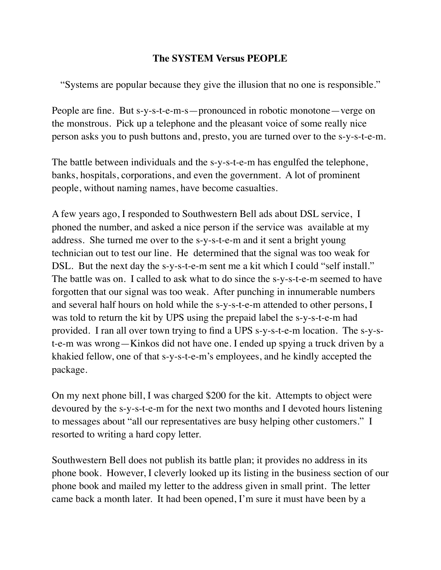## **The SYSTEM Versus PEOPLE**

"Systems are popular because they give the illusion that no one is responsible."

People are fine. But s-y-s-t-e-m-s—pronounced in robotic monotone—verge on the monstrous. Pick up a telephone and the pleasant voice of some really nice person asks you to push buttons and, presto, you are turned over to the s-y-s-t-e-m.

The battle between individuals and the s-y-s-t-e-m has engulfed the telephone, banks, hospitals, corporations, and even the government. A lot of prominent people, without naming names, have become casualties.

A few years ago, I responded to Southwestern Bell ads about DSL service, I phoned the number, and asked a nice person if the service was available at my address. She turned me over to the s-y-s-t-e-m and it sent a bright young technician out to test our line. He determined that the signal was too weak for DSL. But the next day the s-y-s-t-e-m sent me a kit which I could "self install." The battle was on. I called to ask what to do since the s-y-s-t-e-m seemed to have forgotten that our signal was too weak. After punching in innumerable numbers and several half hours on hold while the s-y-s-t-e-m attended to other persons, I was told to return the kit by UPS using the prepaid label the s-y-s-t-e-m had provided. I ran all over town trying to find a UPS s-y-s-t-e-m location. The s-y-st-e-m was wrong—Kinkos did not have one. I ended up spying a truck driven by a khakied fellow, one of that s-y-s-t-e-m's employees, and he kindly accepted the package.

On my next phone bill, I was charged \$200 for the kit. Attempts to object were devoured by the s-y-s-t-e-m for the next two months and I devoted hours listening to messages about "all our representatives are busy helping other customers." I resorted to writing a hard copy letter.

Southwestern Bell does not publish its battle plan; it provides no address in its phone book. However, I cleverly looked up its listing in the business section of our phone book and mailed my letter to the address given in small print. The letter came back a month later. It had been opened, I'm sure it must have been by a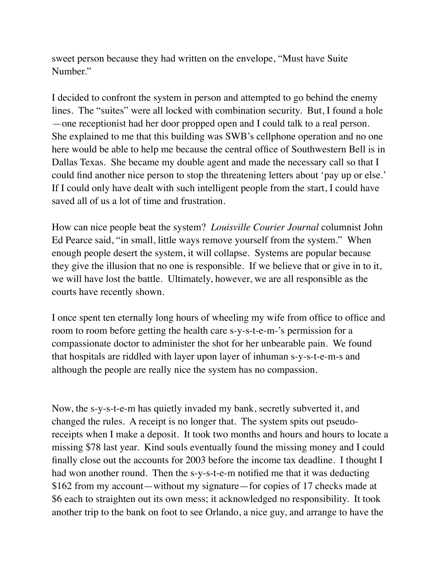sweet person because they had written on the envelope, "Must have Suite Number."

I decided to confront the system in person and attempted to go behind the enemy lines. The "suites" were all locked with combination security. But, I found a hole —one receptionist had her door propped open and I could talk to a real person. She explained to me that this building was SWB's cellphone operation and no one here would be able to help me because the central office of Southwestern Bell is in Dallas Texas. She became my double agent and made the necessary call so that I could find another nice person to stop the threatening letters about 'pay up or else.' If I could only have dealt with such intelligent people from the start, I could have saved all of us a lot of time and frustration.

How can nice people beat the system? *Louisville Courier Journal* columnist John Ed Pearce said, "in small, little ways remove yourself from the system." When enough people desert the system, it will collapse. Systems are popular because they give the illusion that no one is responsible. If we believe that or give in to it, we will have lost the battle. Ultimately, however, we are all responsible as the courts have recently shown.

I once spent ten eternally long hours of wheeling my wife from office to office and room to room before getting the health care s-y-s-t-e-m-'s permission for a compassionate doctor to administer the shot for her unbearable pain. We found that hospitals are riddled with layer upon layer of inhuman s-y-s-t-e-m-s and although the people are really nice the system has no compassion.

Now, the s-y-s-t-e-m has quietly invaded my bank, secretly subverted it, and changed the rules. A receipt is no longer that. The system spits out pseudoreceipts when I make a deposit. It took two months and hours and hours to locate a missing \$78 last year. Kind souls eventually found the missing money and I could finally close out the accounts for 2003 before the income tax deadline. I thought I had won another round. Then the s-y-s-t-e-m notified me that it was deducting \$162 from my account—without my signature—for copies of 17 checks made at \$6 each to straighten out its own mess; it acknowledged no responsibility. It took another trip to the bank on foot to see Orlando, a nice guy, and arrange to have the